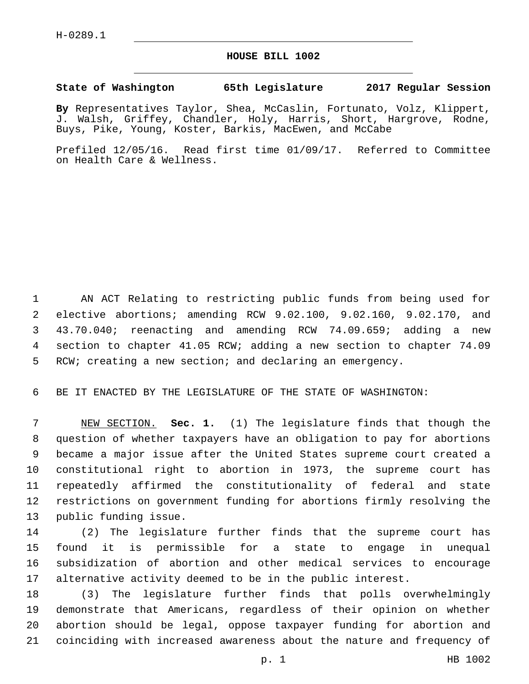## **HOUSE BILL 1002**

## **State of Washington 65th Legislature 2017 Regular Session**

**By** Representatives Taylor, Shea, McCaslin, Fortunato, Volz, Klippert, J. Walsh, Griffey, Chandler, Holy, Harris, Short, Hargrove, Rodne, Buys, Pike, Young, Koster, Barkis, MacEwen, and McCabe

Prefiled 12/05/16. Read first time 01/09/17. Referred to Committee on Health Care & Wellness.

 AN ACT Relating to restricting public funds from being used for elective abortions; amending RCW 9.02.100, 9.02.160, 9.02.170, and 43.70.040; reenacting and amending RCW 74.09.659; adding a new section to chapter 41.05 RCW; adding a new section to chapter 74.09 RCW; creating a new section; and declaring an emergency.

BE IT ENACTED BY THE LEGISLATURE OF THE STATE OF WASHINGTON:

 NEW SECTION. **Sec. 1.** (1) The legislature finds that though the question of whether taxpayers have an obligation to pay for abortions became a major issue after the United States supreme court created a constitutional right to abortion in 1973, the supreme court has repeatedly affirmed the constitutionality of federal and state restrictions on government funding for abortions firmly resolving the public funding issue.

 (2) The legislature further finds that the supreme court has found it is permissible for a state to engage in unequal subsidization of abortion and other medical services to encourage alternative activity deemed to be in the public interest.

 (3) The legislature further finds that polls overwhelmingly demonstrate that Americans, regardless of their opinion on whether abortion should be legal, oppose taxpayer funding for abortion and coinciding with increased awareness about the nature and frequency of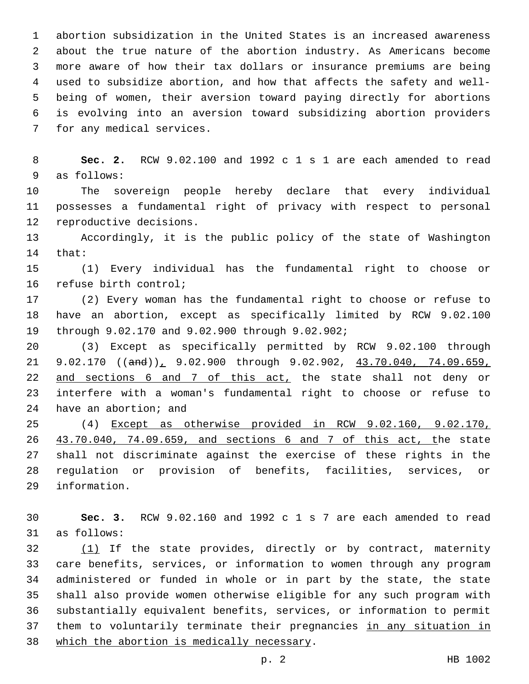abortion subsidization in the United States is an increased awareness about the true nature of the abortion industry. As Americans become more aware of how their tax dollars or insurance premiums are being used to subsidize abortion, and how that affects the safety and well- being of women, their aversion toward paying directly for abortions is evolving into an aversion toward subsidizing abortion providers 7 for any medical services.

 **Sec. 2.** RCW 9.02.100 and 1992 c 1 s 1 are each amended to read 9 as follows:

 The sovereign people hereby declare that every individual possesses a fundamental right of privacy with respect to personal 12 reproductive decisions.

 Accordingly, it is the public policy of the state of Washington 14 that:

 (1) Every individual has the fundamental right to choose or 16 refuse birth control;

 (2) Every woman has the fundamental right to choose or refuse to have an abortion, except as specifically limited by RCW 9.02.100 through 9.02.170 and 9.02.900 through 9.02.902;19

 (3) Except as specifically permitted by RCW 9.02.100 through 21 9.02.170 ((and)), 9.02.900 through 9.02.902, 43.70.040, 74.09.659, 22 and sections 6 and 7 of this act, the state shall not deny or interfere with a woman's fundamental right to choose or refuse to 24 have an abortion; and

 (4) Except as otherwise provided in RCW 9.02.160, 9.02.170, 43.70.040, 74.09.659, and sections 6 and 7 of this act, the state shall not discriminate against the exercise of these rights in the regulation or provision of benefits, facilities, services, or 29 information.

 **Sec. 3.** RCW 9.02.160 and 1992 c 1 s 7 are each amended to read 31 as follows:

32 (1) If the state provides, directly or by contract, maternity care benefits, services, or information to women through any program administered or funded in whole or in part by the state, the state shall also provide women otherwise eligible for any such program with substantially equivalent benefits, services, or information to permit 37 them to voluntarily terminate their pregnancies in any situation in 38 which the abortion is medically necessary.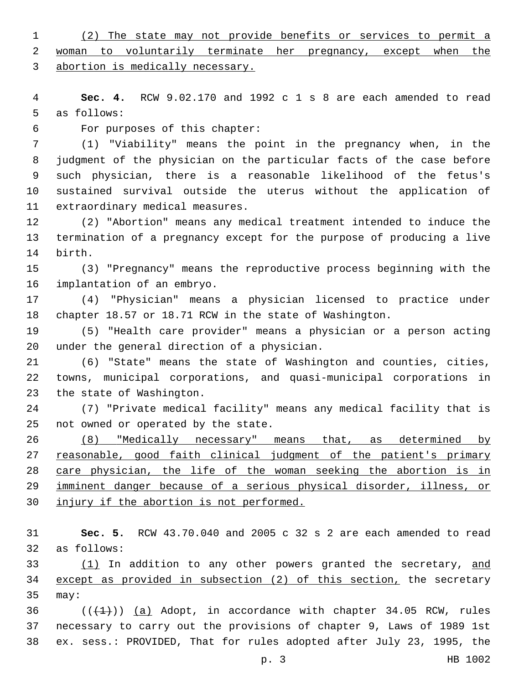(2) The state may not provide benefits or services to permit a 2 woman to voluntarily terminate her pregnancy, except when the abortion is medically necessary.

 **Sec. 4.** RCW 9.02.170 and 1992 c 1 s 8 are each amended to read 5 as follows:

For purposes of this chapter:6

 (1) "Viability" means the point in the pregnancy when, in the judgment of the physician on the particular facts of the case before such physician, there is a reasonable likelihood of the fetus's sustained survival outside the uterus without the application of 11 extraordinary medical measures.

 (2) "Abortion" means any medical treatment intended to induce the termination of a pregnancy except for the purpose of producing a live 14 birth.

 (3) "Pregnancy" means the reproductive process beginning with the 16 implantation of an embryo.

 (4) "Physician" means a physician licensed to practice under chapter 18.57 or 18.71 RCW in the state of Washington.

 (5) "Health care provider" means a physician or a person acting 20 under the general direction of a physician.

 (6) "State" means the state of Washington and counties, cities, towns, municipal corporations, and quasi-municipal corporations in 23 the state of Washington.

 (7) "Private medical facility" means any medical facility that is 25 not owned or operated by the state.

 (8) "Medically necessary" means that, as determined by 27 reasonable, good faith clinical judgment of the patient's primary care physician, the life of the woman seeking the abortion is in imminent danger because of a serious physical disorder, illness, or injury if the abortion is not performed.

 **Sec. 5.** RCW 43.70.040 and 2005 c 32 s 2 are each amended to read 32 as follows:

33 (1) In addition to any other powers granted the secretary, and except as provided in subsection (2) of this section, the secretary 35 may:

36  $((+1))$  (a) Adopt, in accordance with chapter 34.05 RCW, rules necessary to carry out the provisions of chapter 9, Laws of 1989 1st ex. sess.: PROVIDED, That for rules adopted after July 23, 1995, the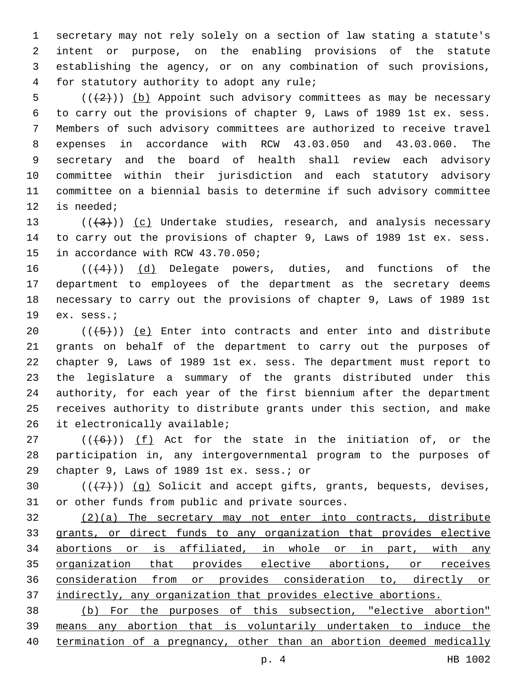secretary may not rely solely on a section of law stating a statute's intent or purpose, on the enabling provisions of the statute establishing the agency, or on any combination of such provisions, 4 for statutory authority to adopt any rule;

5 ( $(\langle 2 \rangle)$ ) (b) Appoint such advisory committees as may be necessary to carry out the provisions of chapter 9, Laws of 1989 1st ex. sess. Members of such advisory committees are authorized to receive travel expenses in accordance with RCW 43.03.050 and 43.03.060. The secretary and the board of health shall review each advisory committee within their jurisdiction and each statutory advisory committee on a biennial basis to determine if such advisory committee 12 is needed;

13  $((+3))$   $(c)$  Undertake studies, research, and analysis necessary to carry out the provisions of chapter 9, Laws of 1989 1st ex. sess. 15 in accordance with RCW 43.70.050;

 $((4+))$  (d) Delegate powers, duties, and functions of the department to employees of the department as the secretary deems necessary to carry out the provisions of chapter 9, Laws of 1989 1st 19 ex. sess.;

 $((+5+))$  (e) Enter into contracts and enter into and distribute grants on behalf of the department to carry out the purposes of chapter 9, Laws of 1989 1st ex. sess. The department must report to the legislature a summary of the grants distributed under this authority, for each year of the first biennium after the department receives authority to distribute grants under this section, and make 26 it electronically available;

27  $((+6+))$   $(f)$  Act for the state in the initiation of, or the participation in, any intergovernmental program to the purposes of 29 chapter 9, Laws of 1989 1st ex. sess.; or

30  $((+7+))$  (g) Solicit and accept gifts, grants, bequests, devises, 31 or other funds from public and private sources.

 (2)(a) The secretary may not enter into contracts, distribute grants, or direct funds to any organization that provides elective abortions or is affiliated, in whole or in part, with any organization that provides elective abortions, or receives consideration from or provides consideration to, directly or indirectly, any organization that provides elective abortions.

 (b) For the purposes of this subsection, "elective abortion" means any abortion that is voluntarily undertaken to induce the 40 termination of a pregnancy, other than an abortion deemed medically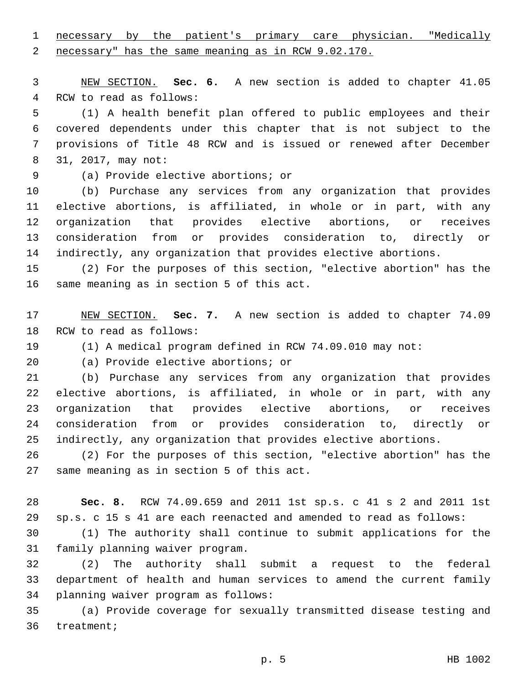necessary by the patient's primary care physician. "Medically necessary" has the same meaning as in RCW 9.02.170.

 NEW SECTION. **Sec. 6.** A new section is added to chapter 41.05 4 RCW to read as follows:

 (1) A health benefit plan offered to public employees and their covered dependents under this chapter that is not subject to the provisions of Title 48 RCW and is issued or renewed after December 8 31, 2017, may not:

(a) Provide elective abortions; or9

 (b) Purchase any services from any organization that provides elective abortions, is affiliated, in whole or in part, with any organization that provides elective abortions, or receives consideration from or provides consideration to, directly or indirectly, any organization that provides elective abortions.

 (2) For the purposes of this section, "elective abortion" has the 16 same meaning as in section 5 of this act.

 NEW SECTION. **Sec. 7.** A new section is added to chapter 74.09 18 RCW to read as follows:

(1) A medical program defined in RCW 74.09.010 may not:

20 (a) Provide elective abortions; or

 (b) Purchase any services from any organization that provides elective abortions, is affiliated, in whole or in part, with any organization that provides elective abortions, or receives consideration from or provides consideration to, directly or indirectly, any organization that provides elective abortions.

 (2) For the purposes of this section, "elective abortion" has the 27 same meaning as in section 5 of this act.

 **Sec. 8.** RCW 74.09.659 and 2011 1st sp.s. c 41 s 2 and 2011 1st sp.s. c 15 s 41 are each reenacted and amended to read as follows:

 (1) The authority shall continue to submit applications for the 31 family planning waiver program.

 (2) The authority shall submit a request to the federal department of health and human services to amend the current family 34 planning waiver program as follows:

 (a) Provide coverage for sexually transmitted disease testing and 36 treatment;